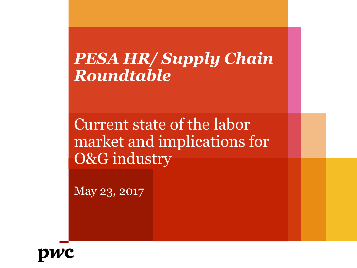# *PESA HR/ Supply Chain Roundtable*

Current state of the labor market and implications for O&G industry

May 23, 2017

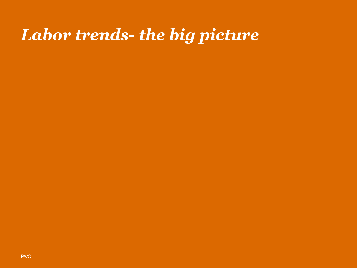# *Labor trends- the big picture*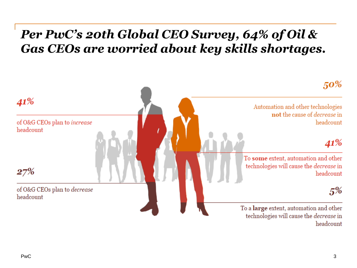#### *Per PwC's 20th Global CEO Survey, 64% of Oil & Gas CEOs are worried about key skills shortages.*

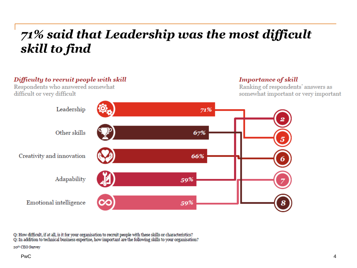## *71% said that Leadership was the most difficult skill to find*



Q: How difficult, if at all, is it for your organisation to recruit people with these skills or characteristics?<br>Q: In addition to technical business expertise, how important are the following skills to your organisation?

20th CEO Survey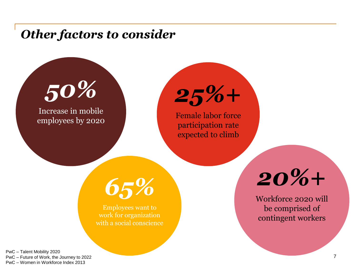#### *Other factors to consider*



Increase in mobile employees by 2020



Female labor force participation rate expected to climb

*65%*

Employees want to work for organization with a social conscience *20%+*

Workforce 2020 will be comprised of contingent workers

PwC PwC – Future of Work, the Journey to 2022 PwC – Talent Mobility 2020 PwC – Women in Workforce Index 2013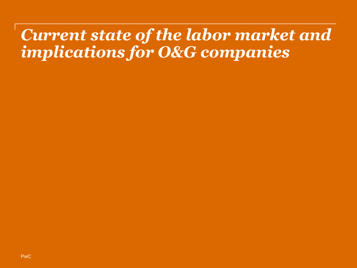# *Current state of the labor market and implications for O&G companies*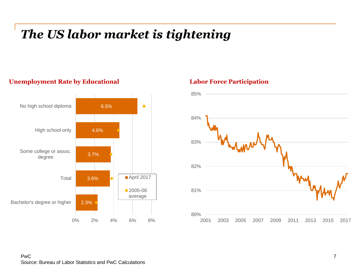## *The US labor market is tightening*

#### **Unemployment Rate by Educational**



#### **Labor Force Participation**

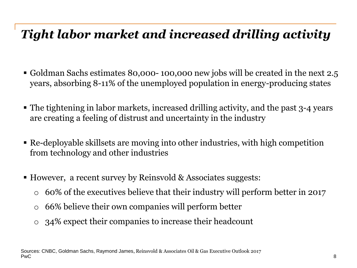### *Tight labor market and increased drilling activity*

- Goldman Sachs estimates 80,000- 100,000 new jobs will be created in the next 2.5 years, absorbing 8-11% of the unemployed population in energy-producing states
- The tightening in labor markets, increased drilling activity, and the past 3-4 years are creating a feeling of distrust and uncertainty in the industry
- Re-deployable skillsets are moving into other industries, with high competition from technology and other industries
- However, a recent survey by Reinsvold & Associates suggests:
	- o 60% of the executives believe that their industry will perform better in 2017
	- o 66% believe their own companies will perform better
	- o 34% expect their companies to increase their headcount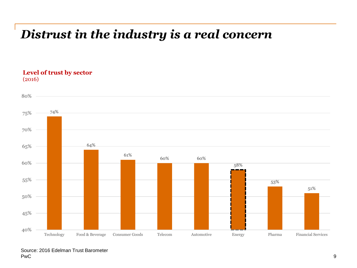## *Distrust in the industry is a real concern*

#### **Level of trust by sector** (2016)



PwC Source: 2016 Edelman Trust Barometer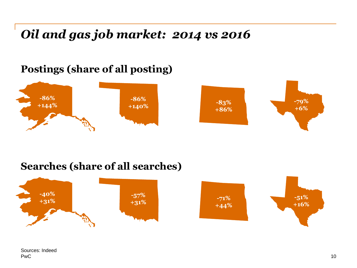*Oil and gas job market: 2014 vs 2016*

#### **Postings (share of all posting)**



#### **Searches (share of all searches)**

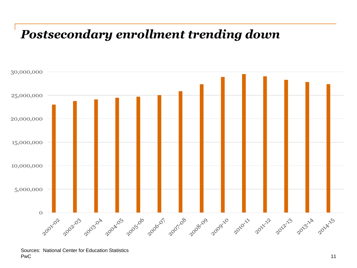### *Postsecondary enrollment trending down*

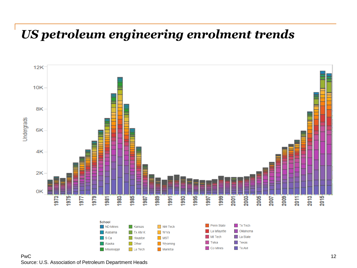#### *US petroleum engineering enrolment trends*



PwC Source: U.S. Association of Petroleum Department Heads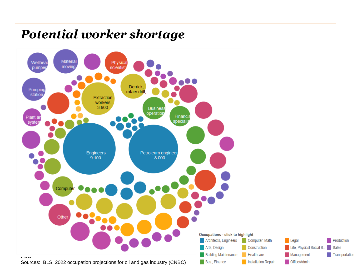#### *Potential worker shortage*

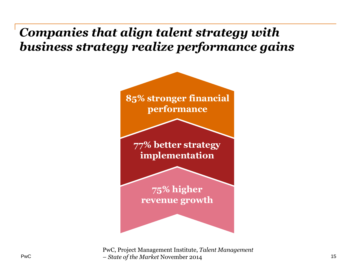### *Companies that align talent strategy with business strategy realize performance gains*



PwC, Project Management Institute, *Talent Management – State of the Market* November 2014